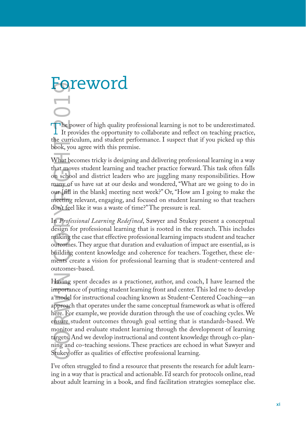## Foreword

The power of high quality professional learning is not to be underestimated. It provides the opportunity to collaborate and reflect on teaching practice, the curriculum, and student performance. I suspect that if you picked up this book, you agree with this premise.

What becomes tricky is designing and delivering professional learning in a way that moves student learning and teacher practice forward. This task often falls on school and district leaders who are juggling many responsibilities. How many of us have sat at our desks and wondered, "What are we going to do in our [fill in the blank] meeting next week?" Or, "How am I going to make the meeting relevant, engaging, and focused on student learning so that teachers don't feel like it was a waste of time?" The pressure is real.

In *Professional Learning Redefined*, Sawyer and Stukey present a conceptual design for professional learning that is rooted in the research. This includes making the case that effective professional learning impacts student and teacher outcomes. They argue that duration and evaluation of impact are essential, as is building content knowledge and coherence for teachers. Together, these elements create a vision for professional learning that is student-centered and outcomes-based.

Having spent decades as a practioner, author, and coach, I have learned the importance of putting student learning front and center. This led me to develop a model for instructional coaching known as Student-Centered Coaching—an approach that operates under the same conceptual framework as what is offered here. For example, we provide duration through the use of coaching cycles. We ensure student outcomes through goal setting that is standards-based. We monitor and evaluate student learning through the development of learning targets. And we develop instructional and content knowledge through co-planning and co-teaching sessions. These practices are echoed in what Sawyer and Stukey offer as qualities of effective professional learning. Copyright and the current ook, y what hat mook, y what hat mook, y what hat mook, y what hat mook and which the monitor of the monitor of the monitor and the monitor dependence. For sure ansure and the monito argets, tukey

I've often struggled to find a resource that presents the research for adult learning in a way that is practical and actionable. I'd search for protocols online, read about adult learning in a book, and find facilitation strategies someplace else.